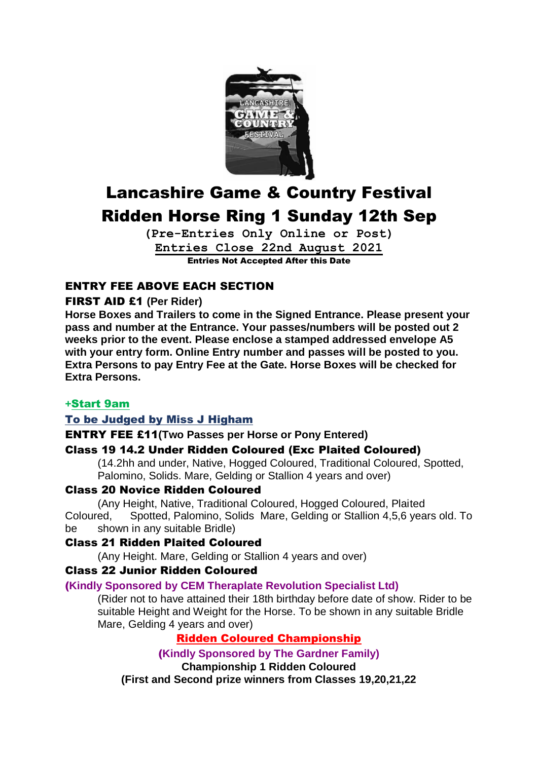

# Lancashire Game & Country Festival Ridden Horse Ring 1 Sunday 12th Sep

**(Pre-Entries Only Online or Post) Entries Close 22nd August 2021** Entries Not Accepted After this Date

# ENTRY FEE ABOVE EACH SECTION

# FIRST AID £1 **(Per Rider)**

**Horse Boxes and Trailers to come in the Signed Entrance. Please present your pass and number at the Entrance. Your passes/numbers will be posted out 2 weeks prior to the event. Please enclose a stamped addressed envelope A5 with your entry form. Online Entry number and passes will be posted to you. Extra Persons to pay Entry Fee at the Gate. Horse Boxes will be checked for Extra Persons.**

# **+**Start 9am

# To be Judged by Miss J Higham

# ENTRY FEE £11**(Two Passes per Horse or Pony Entered)**

# Class 19 14.2 Under Ridden Coloured (Exc Plaited Coloured)

(14.2hh and under, Native, Hogged Coloured, Traditional Coloured, Spotted, Palomino, Solids. Mare, Gelding or Stallion 4 years and over)

# Class 20 Novice Ridden Coloured

(Any Height, Native, Traditional Coloured, Hogged Coloured, Plaited Coloured, Spotted, Palomino, Solids Mare, Gelding or Stallion 4,5,6 years old. To be shown in any suitable Bridle)

# Class 21 Ridden Plaited Coloured

(Any Height. Mare, Gelding or Stallion 4 years and over)

# Class 22 Junior Ridden Coloured

# (**Kindly Sponsored by CEM Theraplate Revolution Specialist Ltd)**

(Rider not to have attained their 18th birthday before date of show. Rider to be suitable Height and Weight for the Horse. To be shown in any suitable Bridle Mare, Gelding 4 years and over)

# Ridden Coloured Championship

(**Kindly Sponsored by The Gardner Family) Championship 1 Ridden Coloured (First and Second prize winners from Classes 19,20,21,22**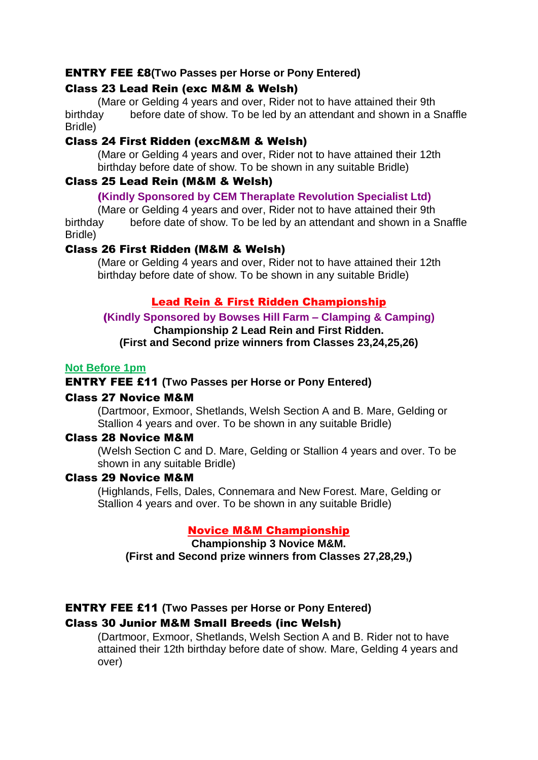# ENTRY FEE £8**(Two Passes per Horse or Pony Entered)**

# Class 23 Lead Rein (exc M&M & Welsh)

(Mare or Gelding 4 years and over, Rider not to have attained their 9th birthday before date of show. To be led by an attendant and shown in a Snaffle Bridle)

# Class 24 First Ridden (excM&M & Welsh)

(Mare or Gelding 4 years and over, Rider not to have attained their 12th birthday before date of show. To be shown in any suitable Bridle)

# Class 25 Lead Rein (M&M & Welsh)

# (**Kindly Sponsored by CEM Theraplate Revolution Specialist Ltd)**

(Mare or Gelding 4 years and over, Rider not to have attained their 9th birthday before date of show. To be led by an attendant and shown in a Snaffle Bridle)

# Class 26 First Ridden (M&M & Welsh)

(Mare or Gelding 4 years and over, Rider not to have attained their 12th birthday before date of show. To be shown in any suitable Bridle)

# Lead Rein & First Ridden Championship

#### (**Kindly Sponsored by Bowses Hill Farm – Clamping & Camping) Championship 2 Lead Rein and First Ridden.**

**(First and Second prize winners from Classes 23,24,25,26)**

# **Not Before 1pm**

# ENTRY FEE £11 **(Two Passes per Horse or Pony Entered)**

# Class 27 Novice M&M

(Dartmoor, Exmoor, Shetlands, Welsh Section A and B. Mare, Gelding or Stallion 4 years and over. To be shown in any suitable Bridle)

# Class 28 Novice M&M

(Welsh Section C and D. Mare, Gelding or Stallion 4 years and over. To be shown in any suitable Bridle)

# Class 29 Novice M&M

(Highlands, Fells, Dales, Connemara and New Forest. Mare, Gelding or Stallion 4 years and over. To be shown in any suitable Bridle)

# Novice M&M Championship

**Championship 3 Novice M&M. (First and Second prize winners from Classes 27,28,29,)**

# ENTRY FEE £11 **(Two Passes per Horse or Pony Entered)**

# Class 30 Junior M&M Small Breeds (inc Welsh)

(Dartmoor, Exmoor, Shetlands, Welsh Section A and B. Rider not to have attained their 12th birthday before date of show. Mare, Gelding 4 years and over)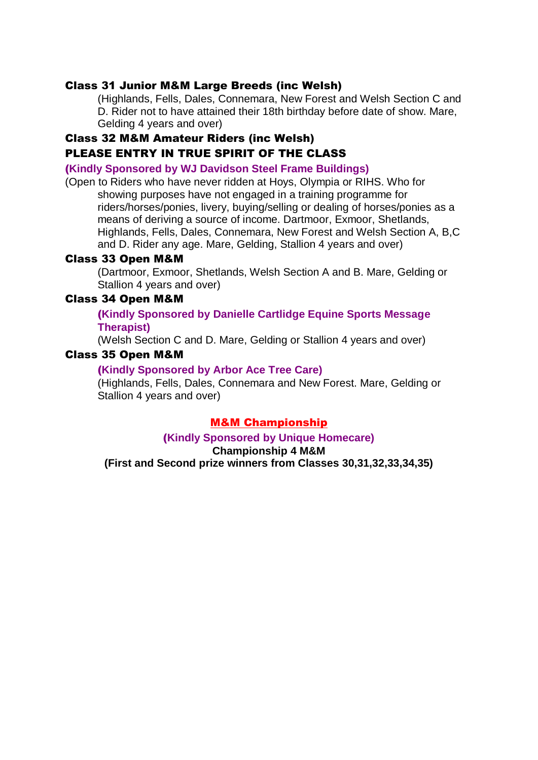#### Class 31 Junior M&M Large Breeds (inc Welsh)

(Highlands, Fells, Dales, Connemara, New Forest and Welsh Section C and D. Rider not to have attained their 18th birthday before date of show. Mare, Gelding 4 years and over)

# Class 32 M&M Amateur Riders (inc Welsh) PLEASE ENTRY IN TRUE SPIRIT OF THE CLASS

#### (**Kindly Sponsored by WJ Davidson Steel Frame Buildings)**

(Open to Riders who have never ridden at Hoys, Olympia or RIHS. Who for showing purposes have not engaged in a training programme for riders/horses/ponies, livery, buying/selling or dealing of horses/ponies as a means of deriving a source of income. Dartmoor, Exmoor, Shetlands, Highlands, Fells, Dales, Connemara, New Forest and Welsh Section A, B,C and D. Rider any age. Mare, Gelding, Stallion 4 years and over)

#### Class 33 Open M&M

(Dartmoor, Exmoor, Shetlands, Welsh Section A and B. Mare, Gelding or Stallion 4 years and over)

#### Class 34 Open M&M

#### (**Kindly Sponsored by Danielle Cartlidge Equine Sports Message Therapist)**

(Welsh Section C and D. Mare, Gelding or Stallion 4 years and over)

#### Class 35 Open M&M

#### (**Kindly Sponsored by Arbor Ace Tree Care)**

(Highlands, Fells, Dales, Connemara and New Forest. Mare, Gelding or Stallion 4 years and over)

#### M&M Championship

(**Kindly Sponsored by Unique Homecare)**

#### **Championship 4 M&M**

**(First and Second prize winners from Classes 30,31,32,33,34,35)**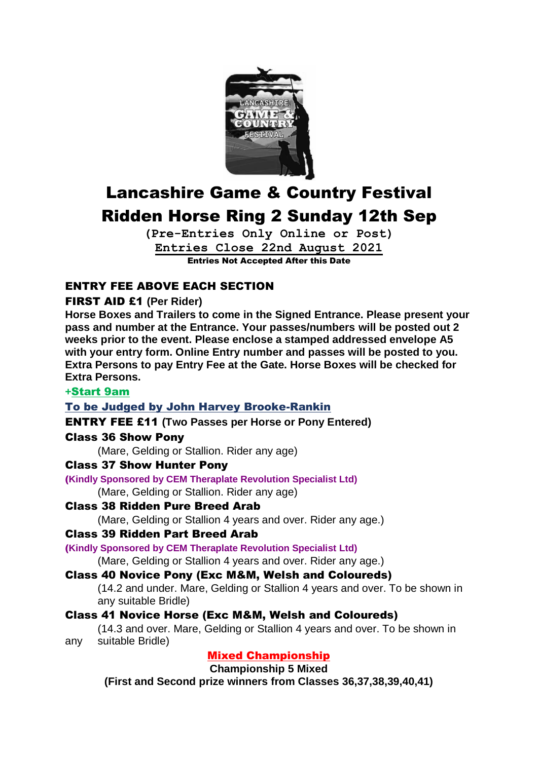

# Lancashire Game & Country Festival Ridden Horse Ring 2 Sunday 12th Sep

**(Pre-Entries Only Online or Post) Entries Close 22nd August 2021** Entries Not Accepted After this Date

# ENTRY FEE ABOVE EACH SECTION

# FIRST AID £1 **(Per Rider)**

**Horse Boxes and Trailers to come in the Signed Entrance. Please present your pass and number at the Entrance. Your passes/numbers will be posted out 2 weeks prior to the event. Please enclose a stamped addressed envelope A5 with your entry form. Online Entry number and passes will be posted to you. Extra Persons to pay Entry Fee at the Gate. Horse Boxes will be checked for Extra Persons.**

# **+**Start 9am

# To be Judged by John Harvey Brooke-Rankin

# ENTRY FEE £11 **(Two Passes per Horse or Pony Entered)**

# Class 36 Show Pony

(Mare, Gelding or Stallion. Rider any age)

# Class 37 Show Hunter Pony

# (**Kindly Sponsored by CEM Theraplate Revolution Specialist Ltd)**

(Mare, Gelding or Stallion. Rider any age)

Class 38 Ridden Pure Breed Arab

(Mare, Gelding or Stallion 4 years and over. Rider any age.)

# Class 39 Ridden Part Breed Arab

(**Kindly Sponsored by CEM Theraplate Revolution Specialist Ltd)**

(Mare, Gelding or Stallion 4 years and over. Rider any age.)

# Class 40 Novice Pony (Exc M&M, Welsh and Coloureds)

(14.2 and under. Mare, Gelding or Stallion 4 years and over. To be shown in any suitable Bridle)

# Class 41 Novice Horse (Exc M&M, Welsh and Coloureds)

(14.3 and over. Mare, Gelding or Stallion 4 years and over. To be shown in any suitable Bridle)

# Mixed Championship

**Championship 5 Mixed** 

**(First and Second prize winners from Classes 36,37,38,39,40,41)**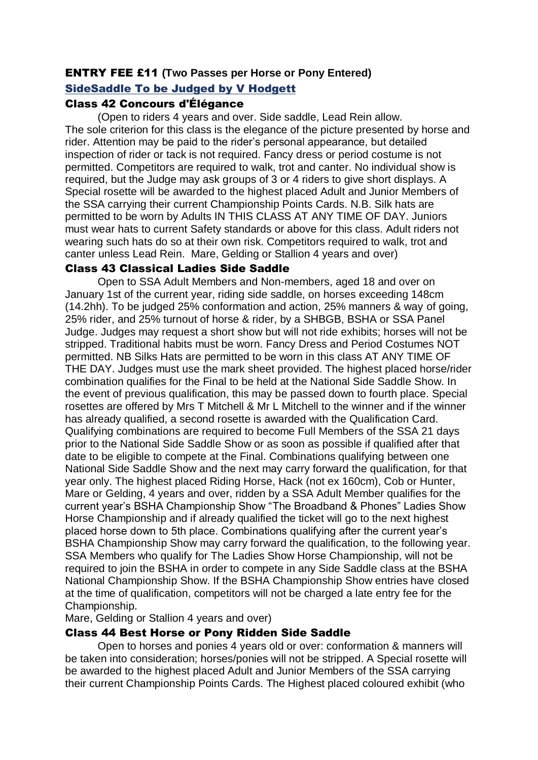# ENTRY FEE £11 **(Two Passes per Horse or Pony Entered)** SideSaddle To be Judged by V Hodgett

# Class 42 Concours d'Élégance

(Open to riders 4 years and over. Side saddle, Lead Rein allow. The sole criterion for this class is the elegance of the picture presented by horse and rider. Attention may be paid to the rider's personal appearance, but detailed inspection of rider or tack is not required. Fancy dress or period costume is not permitted. Competitors are required to walk, trot and canter. No individual show is required, but the Judge may ask groups of 3 or 4 riders to give short displays. A Special rosette will be awarded to the highest placed Adult and Junior Members of the SSA carrying their current Championship Points Cards. N.B. Silk hats are permitted to be worn by Adults IN THIS CLASS AT ANY TIME OF DAY. Juniors must wear hats to current Safety standards or above for this class. Adult riders not wearing such hats do so at their own risk. Competitors required to walk, trot and canter unless Lead Rein. Mare, Gelding or Stallion 4 years and over)

# Class 43 Classical Ladies Side Saddle

Open to SSA Adult Members and Non-members, aged 18 and over on January 1st of the current year, riding side saddle, on horses exceeding 148cm (14.2hh). To be judged 25% conformation and action, 25% manners & way of going, 25% rider, and 25% turnout of horse & rider, by a SHBGB, BSHA or SSA Panel Judge. Judges may request a short show but will not ride exhibits; horses will not be stripped. Traditional habits must be worn. Fancy Dress and Period Costumes NOT permitted. NB Silks Hats are permitted to be worn in this class AT ANY TIME OF THE DAY. Judges must use the mark sheet provided. The highest placed horse/rider combination qualifies for the Final to be held at the National Side Saddle Show. In the event of previous qualification, this may be passed down to fourth place. Special rosettes are offered by Mrs T Mitchell & Mr L Mitchell to the winner and if the winner has already qualified, a second rosette is awarded with the Qualification Card. Qualifying combinations are required to become Full Members of the SSA 21 days prior to the National Side Saddle Show or as soon as possible if qualified after that date to be eligible to compete at the Final. Combinations qualifying between one National Side Saddle Show and the next may carry forward the qualification, for that year only. The highest placed Riding Horse, Hack (not ex 160cm), Cob or Hunter, Mare or Gelding, 4 years and over, ridden by a SSA Adult Member qualifies for the current year's BSHA Championship Show "The Broadband & Phones" Ladies Show Horse Championship and if already qualified the ticket will go to the next highest placed horse down to 5th place. Combinations qualifying after the current year's BSHA Championship Show may carry forward the qualification, to the following year. SSA Members who qualify for The Ladies Show Horse Championship, will not be required to join the BSHA in order to compete in any Side Saddle class at the BSHA National Championship Show. If the BSHA Championship Show entries have closed at the time of qualification, competitors will not be charged a late entry fee for the Championship.

Mare, Gelding or Stallion 4 years and over)

# Class 44 Best Horse or Pony Ridden Side Saddle

Open to horses and ponies 4 years old or over: conformation & manners will be taken into consideration; horses/ponies will not be stripped. A Special rosette will be awarded to the highest placed Adult and Junior Members of the SSA carrying their current Championship Points Cards. The Highest placed coloured exhibit (who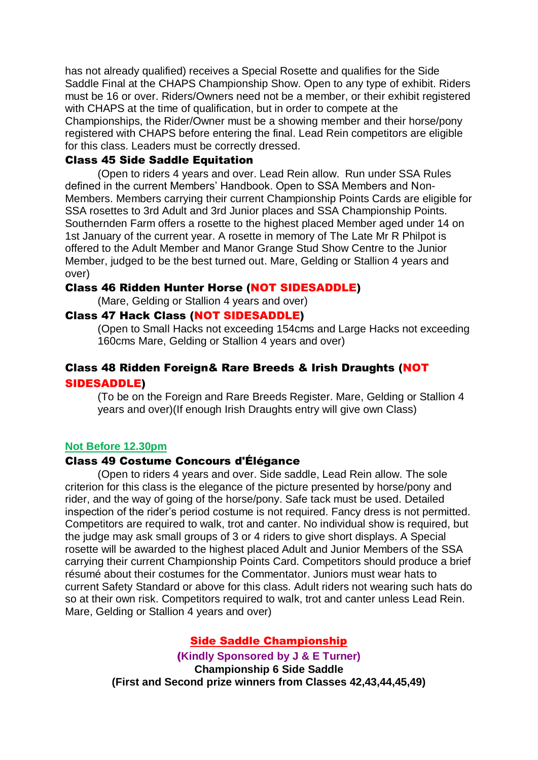has not already qualified) receives a Special Rosette and qualifies for the Side Saddle Final at the CHAPS Championship Show. Open to any type of exhibit. Riders must be 16 or over. Riders/Owners need not be a member, or their exhibit registered with CHAPS at the time of qualification, but in order to compete at the Championships, the Rider/Owner must be a showing member and their horse/pony registered with CHAPS before entering the final. Lead Rein competitors are eligible for this class. Leaders must be correctly dressed.

#### Class 45 Side Saddle Equitation

(Open to riders 4 years and over. Lead Rein allow. Run under SSA Rules defined in the current Members' Handbook. Open to SSA Members and Non-Members. Members carrying their current Championship Points Cards are eligible for SSA rosettes to 3rd Adult and 3rd Junior places and SSA Championship Points. Southernden Farm offers a rosette to the highest placed Member aged under 14 on 1st January of the current year. A rosette in memory of The Late Mr R Philpot is offered to the Adult Member and Manor Grange Stud Show Centre to the Junior Member, judged to be the best turned out. Mare, Gelding or Stallion 4 years and over)

#### Class 46 Ridden Hunter Horse (NOT SIDESADDLE)

(Mare, Gelding or Stallion 4 years and over)

### Class 47 Hack Class (NOT SIDESADDLE)

(Open to Small Hacks not exceeding 154cms and Large Hacks not exceeding 160cms Mare, Gelding or Stallion 4 years and over)

# Class 48 Ridden Foreign& Rare Breeds & Irish Draughts (NOT SIDESADDLE)

(To be on the Foreign and Rare Breeds Register. Mare, Gelding or Stallion 4 years and over)(If enough Irish Draughts entry will give own Class)

#### **Not Before 12.30pm**

#### Class 49 Costume Concours d'Élégance

(Open to riders 4 years and over. Side saddle, Lead Rein allow. The sole criterion for this class is the elegance of the picture presented by horse/pony and rider, and the way of going of the horse/pony. Safe tack must be used. Detailed inspection of the rider's period costume is not required. Fancy dress is not permitted. Competitors are required to walk, trot and canter. No individual show is required, but the judge may ask small groups of 3 or 4 riders to give short displays. A Special rosette will be awarded to the highest placed Adult and Junior Members of the SSA carrying their current Championship Points Card. Competitors should produce a brief résumé about their costumes for the Commentator. Juniors must wear hats to current Safety Standard or above for this class. Adult riders not wearing such hats do so at their own risk. Competitors required to walk, trot and canter unless Lead Rein. Mare, Gelding or Stallion 4 years and over)

#### Side Saddle Championship

(**Kindly Sponsored by J & E Turner) Championship 6 Side Saddle (First and Second prize winners from Classes 42,43,44,45,49)**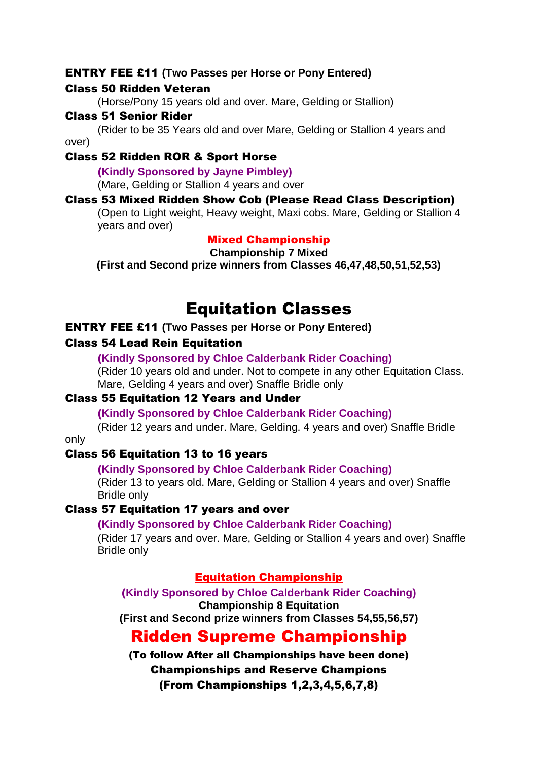#### ENTRY FEE £11 **(Two Passes per Horse or Pony Entered)**

#### Class 50 Ridden Veteran

(Horse/Pony 15 years old and over. Mare, Gelding or Stallion)

#### Class 51 Senior Rider

(Rider to be 35 Years old and over Mare, Gelding or Stallion 4 years and over)

## Class 52 Ridden ROR & Sport Horse

(**Kindly Sponsored by Jayne Pimbley)**

(Mare, Gelding or Stallion 4 years and over

# Class 53 Mixed Ridden Show Cob (Please Read Class Description)

(Open to Light weight, Heavy weight, Maxi cobs. Mare, Gelding or Stallion 4 years and over)

# Mixed Championship

#### **Championship 7 Mixed**

**(First and Second prize winners from Classes 46,47,48,50,51,52,53)**

# Equitation Classes

# ENTRY FEE £11 **(Two Passes per Horse or Pony Entered)**

### Class 54 Lead Rein Equitation

(**Kindly Sponsored by Chloe Calderbank Rider Coaching)**

(Rider 10 years old and under. Not to compete in any other Equitation Class. Mare, Gelding 4 years and over) Snaffle Bridle only

# Class 55 Equitation 12 Years and Under

(**Kindly Sponsored by Chloe Calderbank Rider Coaching)**

(Rider 12 years and under. Mare, Gelding. 4 years and over) Snaffle Bridle only

# Class 56 Equitation 13 to 16 years

#### (**Kindly Sponsored by Chloe Calderbank Rider Coaching)**

(Rider 13 to years old. Mare, Gelding or Stallion 4 years and over) Snaffle Bridle only

#### Class 57 Equitation 17 years and over

#### (**Kindly Sponsored by Chloe Calderbank Rider Coaching)**

(Rider 17 years and over. Mare, Gelding or Stallion 4 years and over) Snaffle Bridle only

# Equitation Championship

(**Kindly Sponsored by Chloe Calderbank Rider Coaching) Championship 8 Equitation (First and Second prize winners from Classes 54,55,56,57)**

# Ridden Supreme Championship

(To follow After all Championships have been done) Championships and Reserve Champions (From Championships 1,2,3,4,5,6,7,8)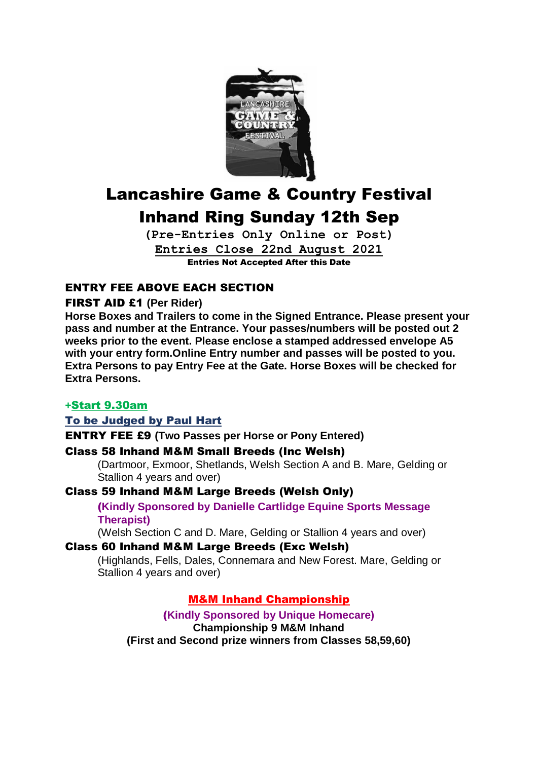

# Lancashire Game & Country Festival Inhand Ring Sunday 12th Sep

**(Pre-Entries Only Online or Post) Entries Close 22nd August 2021** Entries Not Accepted After this Date

# ENTRY FEE ABOVE EACH SECTION

# FIRST AID £1 **(Per Rider)**

**Horse Boxes and Trailers to come in the Signed Entrance. Please present your pass and number at the Entrance. Your passes/numbers will be posted out 2 weeks prior to the event. Please enclose a stamped addressed envelope A5 with your entry form.Online Entry number and passes will be posted to you. Extra Persons to pay Entry Fee at the Gate. Horse Boxes will be checked for Extra Persons.**

# **+**Start 9.30am

# To be Judged by Paul Hart

ENTRY FEE £9 **(Two Passes per Horse or Pony Entered)**

# Class 58 Inhand M&M Small Breeds (Inc Welsh)

(Dartmoor, Exmoor, Shetlands, Welsh Section A and B. Mare, Gelding or Stallion 4 years and over)

Class 59 Inhand M&M Large Breeds (Welsh Only)

(**Kindly Sponsored by Danielle Cartlidge Equine Sports Message Therapist)**

(Welsh Section C and D. Mare, Gelding or Stallion 4 years and over)

# Class 60 Inhand M&M Large Breeds (Exc Welsh)

(Highlands, Fells, Dales, Connemara and New Forest. Mare, Gelding or Stallion 4 years and over)

# M&M Inhand Championship

(**Kindly Sponsored by Unique Homecare) Championship 9 M&M Inhand (First and Second prize winners from Classes 58,59,60)**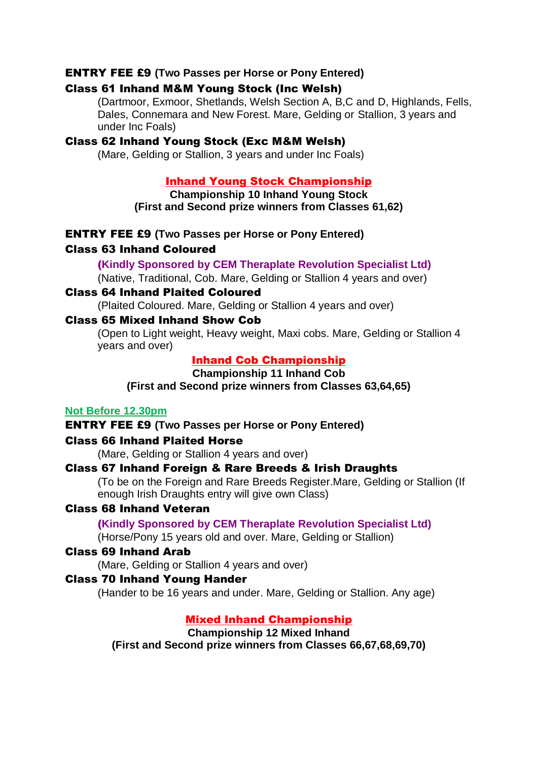### ENTRY FEE £9 **(Two Passes per Horse or Pony Entered)**

#### Class 61 Inhand M&M Young Stock (Inc Welsh)

(Dartmoor, Exmoor, Shetlands, Welsh Section A, B,C and D, Highlands, Fells, Dales, Connemara and New Forest. Mare, Gelding or Stallion, 3 years and under Inc Foals)

### Class 62 Inhand Young Stock (Exc M&M Welsh)

(Mare, Gelding or Stallion, 3 years and under Inc Foals)

## Inhand Young Stock Championship

**Championship 10 Inhand Young Stock (First and Second prize winners from Classes 61,62)**

ENTRY FEE £9 **(Two Passes per Horse or Pony Entered)**

# Class 63 Inhand Coloured

### (**Kindly Sponsored by CEM Theraplate Revolution Specialist Ltd)**

(Native, Traditional, Cob. Mare, Gelding or Stallion 4 years and over)

# Class 64 Inhand Plaited Coloured

(Plaited Coloured. Mare, Gelding or Stallion 4 years and over)

#### Class 65 Mixed Inhand Show Cob

(Open to Light weight, Heavy weight, Maxi cobs. Mare, Gelding or Stallion 4 years and over)

# Inhand Cob Championship

**Championship 11 Inhand Cob**

**(First and Second prize winners from Classes 63,64,65)**

## **Not Before 12.30pm**

ENTRY FEE £9 **(Two Passes per Horse or Pony Entered)**

#### Class 66 Inhand Plaited Horse

(Mare, Gelding or Stallion 4 years and over)

#### Class 67 Inhand Foreign & Rare Breeds & Irish Draughts

(To be on the Foreign and Rare Breeds Register.Mare, Gelding or Stallion (If enough Irish Draughts entry will give own Class)

### Class 68 Inhand Veteran

(**Kindly Sponsored by CEM Theraplate Revolution Specialist Ltd)**

(Horse/Pony 15 years old and over. Mare, Gelding or Stallion)

# Class 69 Inhand Arab

(Mare, Gelding or Stallion 4 years and over)

#### Class 70 Inhand Young Hander

(Hander to be 16 years and under. Mare, Gelding or Stallion. Any age)

# Mixed Inhand Championship

**Championship 12 Mixed Inhand**

**(First and Second prize winners from Classes 66,67,68,69,70)**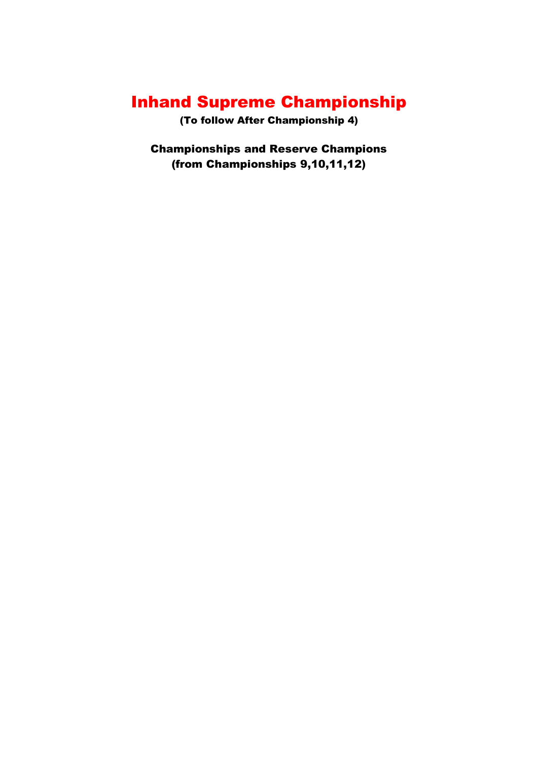# Inhand Supreme Championship

(To follow After Championship 4)

Championships and Reserve Champions (from Championships 9,10,11,12)